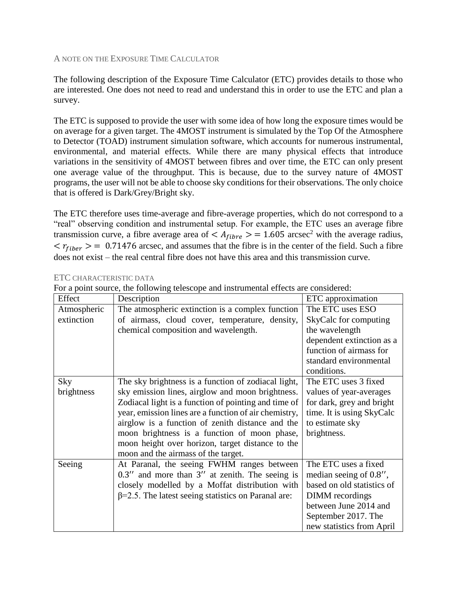## A NOTE ON THE EXPOSURE TIME CALCULATOR

The following description of the Exposure Time Calculator (ETC) provides details to those who are interested. One does not need to read and understand this in order to use the ETC and plan a survey.

The ETC is supposed to provide the user with some idea of how long the exposure times would be on average for a given target. The 4MOST instrument is simulated by the Top Of the Atmosphere to Detector (TOAD) instrument simulation software, which accounts for numerous instrumental, environmental, and material effects. While there are many physical effects that introduce variations in the sensitivity of 4MOST between fibres and over time, the ETC can only present one average value of the throughput. This is because, due to the survey nature of 4MOST programs, the user will not be able to choose sky conditions for their observations. The only choice that is offered is Dark/Grey/Bright sky.

The ETC therefore uses time-average and fibre-average properties, which do not correspond to a "real" observing condition and instrumental setup. For example, the ETC uses an average fibre transmission curve, a fibre average area of  $\langle A_{fibre} \rangle = 1.605$  arcsec<sup>2</sup> with the average radius,  $\langle r_{fiber} \rangle = 0.71476$  arcsec, and assumes that the fibre is in the center of the field. Such a fibre does not exist – the real central fibre does not have this area and this transmission curve.

| For a point source, the following telescope and instrumental effects are considered: |                                                            |                            |  |  |  |
|--------------------------------------------------------------------------------------|------------------------------------------------------------|----------------------------|--|--|--|
| Effect                                                                               | Description                                                | ETC approximation          |  |  |  |
| Atmospheric                                                                          | The atmospheric extinction is a complex function           | The ETC uses ESO           |  |  |  |
| extinction                                                                           | of airmass, cloud cover, temperature, density,             | SkyCalc for computing      |  |  |  |
|                                                                                      | chemical composition and wavelength.                       | the wavelength             |  |  |  |
|                                                                                      |                                                            | dependent extinction as a  |  |  |  |
|                                                                                      |                                                            | function of airmass for    |  |  |  |
|                                                                                      |                                                            | standard environmental     |  |  |  |
|                                                                                      |                                                            | conditions.                |  |  |  |
| Sky                                                                                  | The sky brightness is a function of zodiacal light,        | The ETC uses 3 fixed       |  |  |  |
| brightness                                                                           | sky emission lines, airglow and moon brightness.           | values of year-averages    |  |  |  |
|                                                                                      | Zodiacal light is a function of pointing and time of       | for dark, grey and bright  |  |  |  |
|                                                                                      | year, emission lines are a function of air chemistry,      | time. It is using SkyCalc  |  |  |  |
|                                                                                      | airglow is a function of zenith distance and the           | to estimate sky            |  |  |  |
|                                                                                      | moon brightness is a function of moon phase,               | brightness.                |  |  |  |
|                                                                                      | moon height over horizon, target distance to the           |                            |  |  |  |
|                                                                                      | moon and the airmass of the target.                        |                            |  |  |  |
| Seeing                                                                               | At Paranal, the seeing FWHM ranges between                 | The ETC uses a fixed       |  |  |  |
|                                                                                      | $0.3''$ and more than $3''$ at zenith. The seeing is       | median seeing of $0.8$ ",  |  |  |  |
|                                                                                      | closely modelled by a Moffat distribution with             | based on old statistics of |  |  |  |
|                                                                                      | $\beta$ =2.5. The latest seeing statistics on Paranal are: | DIMM recordings            |  |  |  |
|                                                                                      |                                                            | between June 2014 and      |  |  |  |
|                                                                                      |                                                            | September 2017. The        |  |  |  |
|                                                                                      |                                                            | new statistics from April  |  |  |  |

## ETC CHARACTERISTIC DATA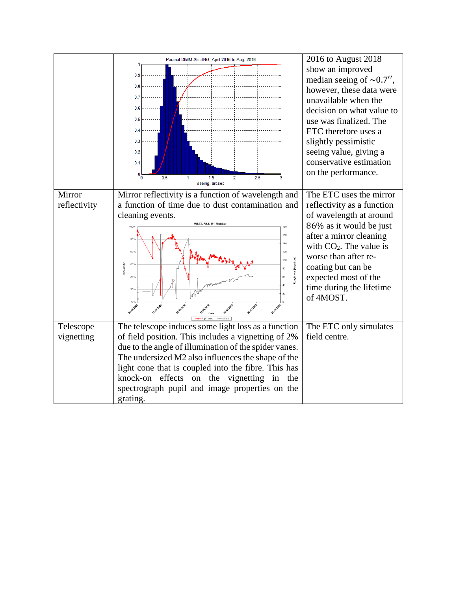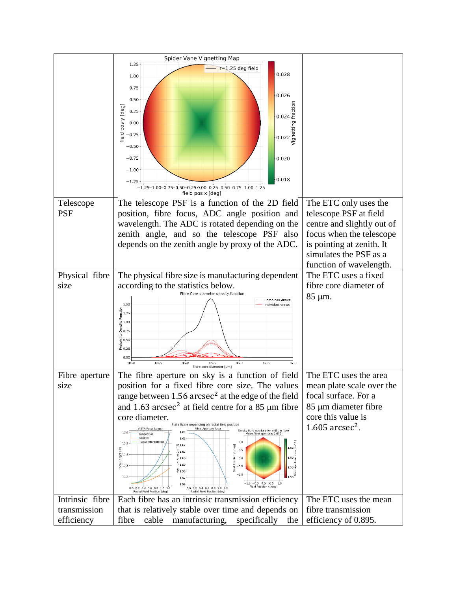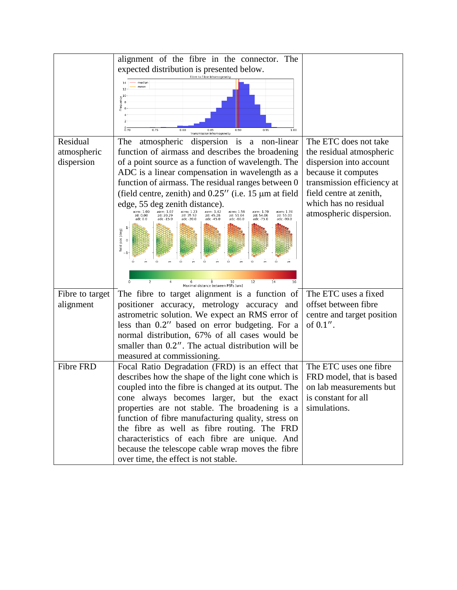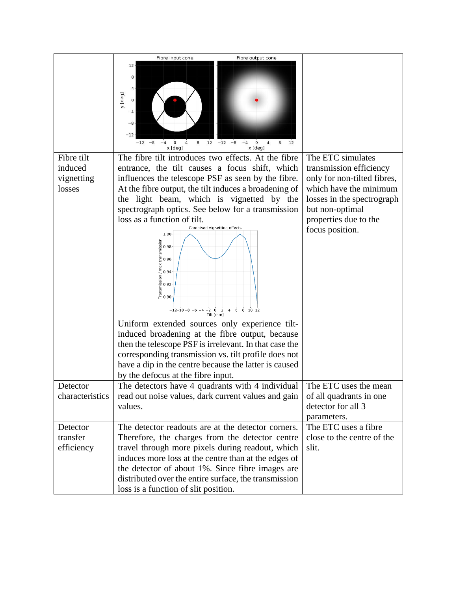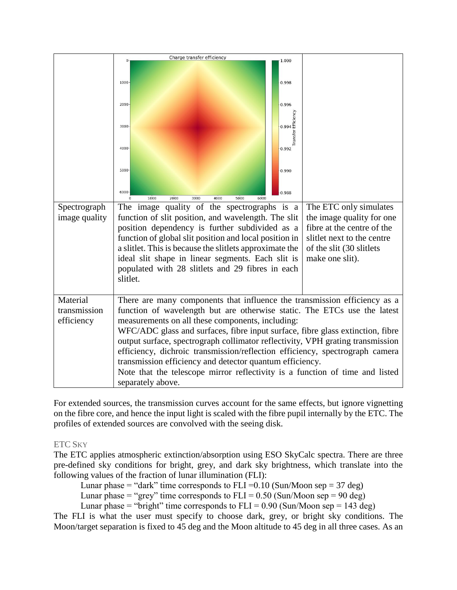|               | Charge transfer efficiency                                                                                                                                                                                                                                                                                   |  |  |  |  |  |
|---------------|--------------------------------------------------------------------------------------------------------------------------------------------------------------------------------------------------------------------------------------------------------------------------------------------------------------|--|--|--|--|--|
|               | 1.000                                                                                                                                                                                                                                                                                                        |  |  |  |  |  |
|               | 0.998<br>1000                                                                                                                                                                                                                                                                                                |  |  |  |  |  |
|               | 2000<br>0.996                                                                                                                                                                                                                                                                                                |  |  |  |  |  |
|               | $-0.994$ Efficiency<br>3000<br>Transfer                                                                                                                                                                                                                                                                      |  |  |  |  |  |
|               | 4000<br>0.992                                                                                                                                                                                                                                                                                                |  |  |  |  |  |
|               | 5000<br>0.990                                                                                                                                                                                                                                                                                                |  |  |  |  |  |
|               | $6000 -$<br>0.988<br>2000<br>1000<br>3000<br>4000<br>5000<br>6000                                                                                                                                                                                                                                            |  |  |  |  |  |
| Spectrograph  | The image quality of the spectrographs is a<br>The ETC only simulates                                                                                                                                                                                                                                        |  |  |  |  |  |
| image quality | function of slit position, and wavelength. The slit<br>the image quality for one                                                                                                                                                                                                                             |  |  |  |  |  |
|               | fibre at the centre of the<br>position dependency is further subdivided as a                                                                                                                                                                                                                                 |  |  |  |  |  |
|               | function of global slit position and local position in<br>slitlet next to the centre                                                                                                                                                                                                                         |  |  |  |  |  |
|               | a slitlet. This is because the slitlets approximate the<br>of the slit (30 slitlets                                                                                                                                                                                                                          |  |  |  |  |  |
|               | ideal slit shape in linear segments. Each slit is<br>make one slit).                                                                                                                                                                                                                                         |  |  |  |  |  |
|               | populated with 28 slitlets and 29 fibres in each                                                                                                                                                                                                                                                             |  |  |  |  |  |
|               | slitlet.                                                                                                                                                                                                                                                                                                     |  |  |  |  |  |
|               |                                                                                                                                                                                                                                                                                                              |  |  |  |  |  |
| Material      | There are many components that influence the transmission efficiency as a                                                                                                                                                                                                                                    |  |  |  |  |  |
| transmission  | function of wavelength but are otherwise static. The ETCs use the latest                                                                                                                                                                                                                                     |  |  |  |  |  |
| efficiency    | measurements on all these components, including:                                                                                                                                                                                                                                                             |  |  |  |  |  |
|               |                                                                                                                                                                                                                                                                                                              |  |  |  |  |  |
|               |                                                                                                                                                                                                                                                                                                              |  |  |  |  |  |
|               |                                                                                                                                                                                                                                                                                                              |  |  |  |  |  |
|               |                                                                                                                                                                                                                                                                                                              |  |  |  |  |  |
|               | Note that the telescope mirror reflectivity is a function of time and listed                                                                                                                                                                                                                                 |  |  |  |  |  |
|               | separately above.                                                                                                                                                                                                                                                                                            |  |  |  |  |  |
|               | WFC/ADC glass and surfaces, fibre input surface, fibre glass extinction, fibre<br>output surface, spectrograph collimator reflectivity, VPH grating transmission<br>efficiency, dichroic transmission/reflection efficiency, spectrograph camera<br>transmission efficiency and detector quantum efficiency. |  |  |  |  |  |

For extended sources, the transmission curves account for the same effects, but ignore vignetting on the fibre core, and hence the input light is scaled with the fibre pupil internally by the ETC. The profiles of extended sources are convolved with the seeing disk.

# ETC SKY

The ETC applies atmospheric extinction/absorption using ESO SkyCalc spectra. There are three pre-defined sky conditions for bright, grey, and dark sky brightness, which translate into the following values of the fraction of lunar illumination (FLI):

Lunar phase = "dark" time corresponds to FLI =  $0.10$  (Sun/Moon sep = 37 deg)

Lunar phase = "grey" time corresponds to  $FLI = 0.50$  (Sun/Moon sep = 90 deg)

Lunar phase = "bright" time corresponds to  $FLI = 0.90$  (Sun/Moon sep = 143 deg)

The FLI is what the user must specify to choose dark, grey, or bright sky conditions. The Moon/target separation is fixed to 45 deg and the Moon altitude to 45 deg in all three cases. As an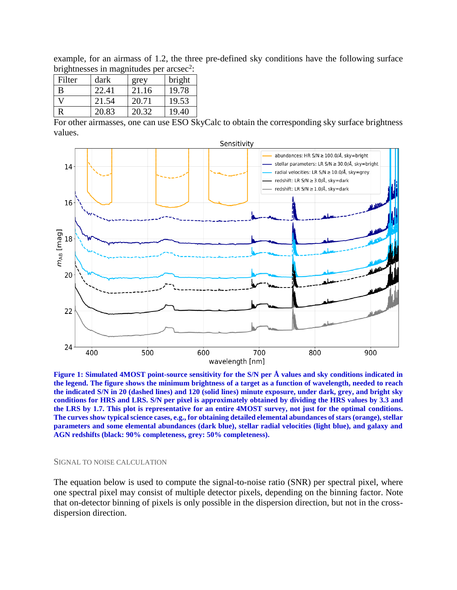example, for an airmass of 1.2, the three pre-defined sky conditions have the following surface brightnesses in magnitudes per  $\arccosce^2$ :

| Filter | dark  | grey  | bright |
|--------|-------|-------|--------|
| В      | 22.41 | 21.16 | 19.78  |
|        | 21.54 | 20.71 | 19.53  |
|        | 20.83 | 20.32 | 19.40  |

For other airmasses, one can use ESO SkyCalc to obtain the corresponding sky surface brightness values.



**Figure 1: Simulated 4MOST point-source sensitivity for the S/N per Å values and sky conditions indicated in the legend. The figure shows the minimum brightness of a target as a function of wavelength, needed to reach the indicated S/N in 20 (dashed lines) and 120 (solid lines) minute exposure, under dark, grey, and bright sky conditions for HRS and LRS. S/N per pixel is approximately obtained by dividing the HRS values by 3.3 and the LRS by 1.7. This plot is representative for an entire 4MOST survey, not just for the optimal conditions. The curves show typical science cases, e.g., for obtaining detailed elemental abundances of stars (orange), stellar parameters and some elemental abundances (dark blue), stellar radial velocities (light blue), and galaxy and AGN redshifts (black: 90% completeness, grey: 50% completeness).**

#### SIGNAL TO NOISE CALCULATION

The equation below is used to compute the signal-to-noise ratio (SNR) per spectral pixel, where one spectral pixel may consist of multiple detector pixels, depending on the binning factor. Note that on-detector binning of pixels is only possible in the dispersion direction, but not in the crossdispersion direction.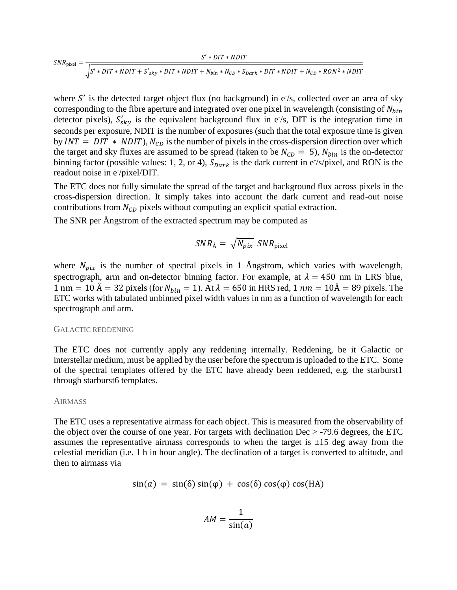$$
SNR_{\text{pixel}} = \frac{S' * DIT * NDIT}{\sqrt{S' * DIT * NDIT + S'_{sky} * DIT * NDIT + N_{bin} * N_{CD} * S_{Dark} * DIT * NDIT + N_{CD} * RON^2 * NDIT}}
$$

where  $S'$  is the detected target object flux (no background) in  $e^{-}/s$ , collected over an area of sky corresponding to the fibre aperture and integrated over one pixel in wavelength (consisting of  $N_{bin}$ detector pixels),  $S'_{sky}$  is the equivalent background flux in e/s, DIT is the integration time in seconds per exposure, NDIT is the number of exposures (such that the total exposure time is given by  $INT = DIT * NDIT$ ,  $N_{CD}$  is the number of pixels in the cross-dispersion direction over which the target and sky fluxes are assumed to be spread (taken to be  $N_{CD} = 5$ ),  $N_{bin}$  is the on-detector binning factor (possible values: 1, 2, or 4),  $S_{Dark}$  is the dark current in e<sup>-</sup>/s/pixel, and RON is the readout noise in e<sup>-/</sup>pixel/DIT.

The ETC does not fully simulate the spread of the target and background flux across pixels in the cross-dispersion direction. It simply takes into account the dark current and read-out noise contributions from  $N_{CD}$  pixels without computing an explicit spatial extraction.

The SNR per Ångstrom of the extracted spectrum may be computed as

$$
SNR_{\text{Å}} = \sqrt{N_{pix}} \; SNR_{\text{pixel}}
$$

where  $N_{pix}$  is the number of spectral pixels in 1 Ångstrom, which varies with wavelength, spectrograph, arm and on-detector binning factor. For example, at  $\lambda = 450$  nm in LRS blue,  $1 \text{ nm} = 10 \text{ Å} = 32 \text{ pixels (for } N_{\text{bin}} = 1)$ . At  $\lambda = 650 \text{ in HRS red}, 1 \text{ nm} = 10 \text{Å} = 89 \text{ pixels}$ . The ETC works with tabulated unbinned pixel width values in nm as a function of wavelength for each spectrograph and arm.

## GALACTIC REDDENING

The ETC does not currently apply any reddening internally. Reddening, be it Galactic or interstellar medium, must be applied by the user before the spectrum is uploaded to the ETC. Some of the spectral templates offered by the ETC have already been reddened, e.g. the starburst1 through starburst6 templates.

### AIRMASS

The ETC uses a representative airmass for each object. This is measured from the observability of the object over the course of one year. For targets with declination  $Dec > -79.6$  degrees, the ETC assumes the representative airmass corresponds to when the target is  $\pm 15$  deg away from the celestial meridian (i.e. 1 h in hour angle). The declination of a target is converted to altitude, and then to airmass via

$$
\sin(a) = \sin(\delta)\sin(\varphi) + \cos(\delta)\cos(\varphi)\cos(\theta)
$$

$$
AM = \frac{1}{\sin(a)}
$$